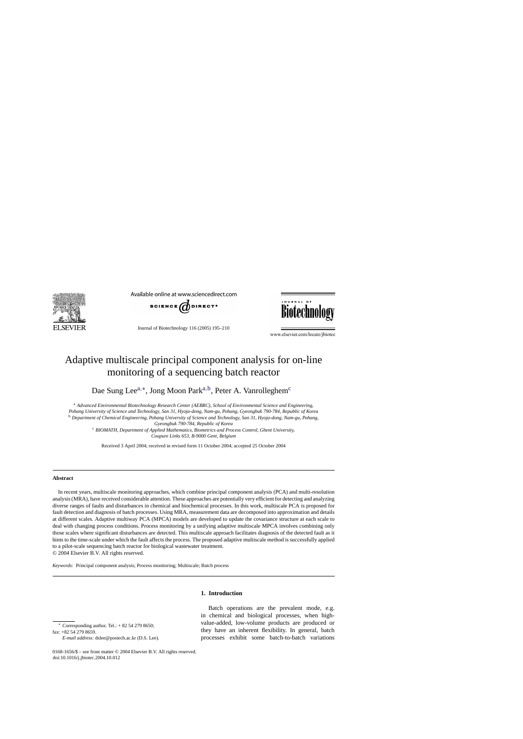

Available online at www.sciencedirect.com



Journal of Biotechnology 116 (2005) 195–210



www.elsevier.com/locate/jbiotec

# Adaptive multiscale principal component analysis for on-line monitoring of a sequencing batch reactor

Dae Sung Lee<sup>a,∗</sup>, Jong Moon Park<sup>a,b</sup>, Peter A. Vanrolleghem<sup>c</sup>

<sup>a</sup> *Advanced Environmental Biotechnology Research Center (AEBRC), School of Environmental Science and Engineering, Pohang University of Science and Technology, San 31, Hyoja-dong, Nam-gu, Pohang, Gyeongbuk 790-784, Republic of Korea* <sup>b</sup> *Department of Chemical Engineering, Pohang University of Science and Technology, San 31, Hyoja-dong, Nam-gu, Pohang, Gyeongbuk 790-784, Republic of Korea* <sup>c</sup> *BIOMATH, Department of Applied Mathematics, Biometrics and Process Control, Ghent University, Coupure Links 653, B-9000 Gent, Belgium*

Received 3 April 2004; received in revised form 11 October 2004; accepted 25 October 2004

#### **Abstract**

In recent years, multiscale monitoring approaches, which combine principal component analysis (PCA) and multi-resolution analysis (MRA), have received considerable attention. These approaches are potentially very efficient for detecting and analyzing diverse ranges of faults and disturbances in chemical and biochemical processes. In this work, multiscale PCA is proposed for fault detection and diagnosis of batch processes. Using MRA, measurement data are decomposed into approximation and details at different scales. Adaptive multiway PCA (MPCA) models are developed to update the covariance structure at each scale to deal with changing process conditions. Process monitoring by a unifying adaptive multiscale MPCA involves combining only those scales where significant disturbances are detected. This multiscale approach facilitates diagnosis of the detected fault as it hints to the time-scale under which the fault affects the process. The proposed adaptive multiscale method is successfully applied to a pilot-scale sequencing batch reactor for biological wastewater treatment. © 2004 Elsevier B.V. All rights reserved.

*Keywords:* Principal component analysis; Process monitoring; Multiscale; Batch process

# **1. Introduction**

∗ Corresponding author. Tel.: + 82 54 279 8650; fax: +82 54 279 8659.

*E-mail address:* dslee@postech.ac.kr (D.S. Lee).

Batch operations are the prevalent mode, e.g. in chemical and biological processes, when highvalue-added, low-volume products are produced or they have an inherent flexibility. In general, batch processes exhibit some batch-to-batch variations

<sup>0168-1656/\$ –</sup> see front matter © 2004 Elsevier B.V. All rights reserved. doi:10.1016/j.jbiotec.2004.10.012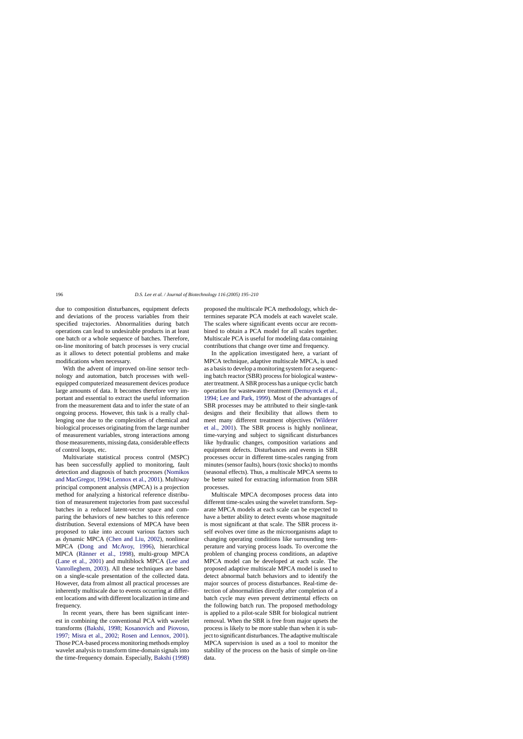due to composition disturbances, equipment defects and deviations of the process variables from their specified trajectories. Abnormalities during batch operations can lead to undesirable products in at least one batch or a whole sequence of batches. Therefore, on-line monitoring of batch processes is very crucial as it allows to detect potential problems and make modifications when necessary.

With the advent of improved on-line sensor technology and automation, batch processes with wellequipped computerized measurement devices produce large amounts of data. It becomes therefore very important and essential to extract the useful information from the measurement data and to infer the state of an ongoing process. However, this task is a really challenging one due to the complexities of chemical and biological processes originating from the large number of measurement variables, strong interactions among those measurements, missing data, considerable effects of control loops, etc.

Multivariate statistical process control (MSPC) has been successfully applied to monitoring, fault detection and diagnosis of batch processes [\(Nomikos](#page-15-0) [and MacGregor, 1994; Lennox et al., 2001\).](#page-15-0) Multiway principal component analysis (MPCA) is a projection method for analyzing a historical reference distribution of measurement trajectories from past successful batches in a reduced latent-vector space and comparing the behaviors of new batches to this reference distribution. Several extensions of MPCA have been proposed to take into account various factors such as dynamic MPCA ([Chen and Liu, 2002\)](#page-14-0), nonlinear MPCA ([Dong and McAvoy, 19](#page-14-0)96), hierarchical MPCA (Ränner et al., 1998), multi-group MPCA ([Lane et al., 2001\)](#page-15-0) and multiblock MPCA ([Lee and](#page-15-0) [Vanrolleghem, 2003\).](#page-15-0) All these techniques are based on a single-scale presentation of the collected data. However, data from almost all practical processes are inherently multiscale due to events occurring at different locations and with different localization in time and frequency.

In recent years, there has been significant interest in combining the conventional PCA with wavelet transforms ([Bakshi, 1998;](#page-14-0) [Kosanovich and Piovoso,](#page-15-0) [1997; Misra et al., 2002; Rosen and Lennox, 2001](#page-15-0)). Those PCA-based process monitoring methods employ wavelet analysis to transform time-domain signals into the time-frequency domain. Especially, [Bakshi \(1998\)](#page-14-0) proposed the multiscale PCA methodology, which determines separate PCA models at each wavelet scale. The scales where significant events occur are recombined to obtain a PCA model for all scales together. Multiscale PCA is useful for modeling data containing contributions that change over time and frequency.

In the application investigated here, a variant of MPCA technique, adaptive multiscale MPCA, is used as a basis to develop a monitoring system for a sequencing batch reactor (SBR) process for biological wastewater treatment. A SBR process has a unique cyclic batch operation for wastewater treatment ([Demuynck et al.,](#page-14-0) [1994; Lee and Park, 1999\).](#page-14-0) Most of the advantages of SBR processes may be attributed to their single-tank designs and their flexibility that allows them to meet many different treatment objectives ([Wilderer](#page-15-0) [et al., 2001\)](#page-15-0). The SBR process is highly nonlinear, time-varying and subject to significant disturbances like hydraulic changes, composition variations and equipment defects. Disturbances and events in SBR processes occur in different time-scales ranging from minutes (sensor faults), hours (toxic shocks) to months (seasonal effects). Thus, a multiscale MPCA seems to be better suited for extracting information from SBR processes.

Multiscale MPCA decomposes process data into different time-scales using the wavelet transform. Separate MPCA models at each scale can be expected to have a better ability to detect events whose magnitude is most significant at that scale. The SBR process itself evolves over time as the microorganisms adapt to changing operating conditions like surrounding temperature and varying process loads. To overcome the problem of changing process conditions, an adaptive MPCA model can be developed at each scale. The proposed adaptive multiscale MPCA model is used to detect abnormal batch behaviors and to identify the major sources of process disturbances. Real-time detection of abnormalities directly after completion of a batch cycle may even prevent detrimental effects on the following batch run. The proposed methodology is applied to a pilot-scale SBR for biological nutrient removal. When the SBR is free from major upsets the process is likely to be more stable than when it is subject to significant disturbances. The adaptive multiscale MPCA supervision is used as a tool to monitor the stability of the process on the basis of simple on-line data.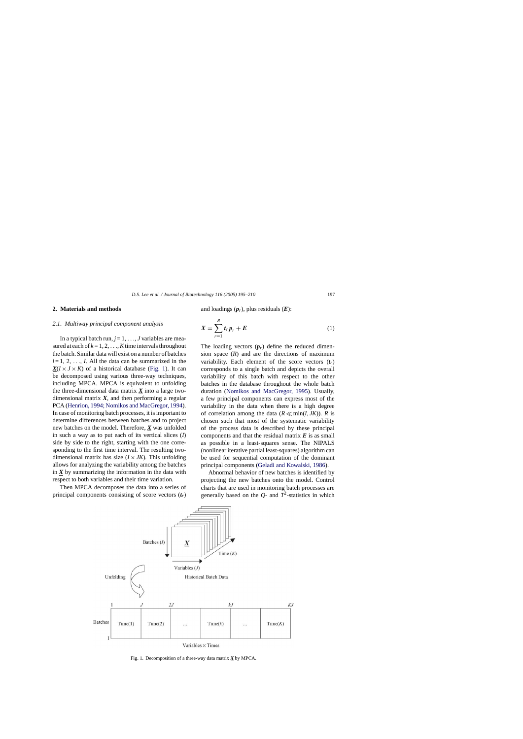## **2. Materials and methods**

#### *2.1. Multiway principal component analysis*

In a typical batch run,  $j = 1, \ldots, J$  variables are measured at each of  $k = 1, 2, \ldots, K$  time intervals throughout the batch. Similar data will exist on a number of batches  $i = 1, 2, \ldots, I$ . All the data can be summarized in the  $X(I \times J \times K)$  of a historical database (Fig. 1). It can be decomposed using various three-way techniques, including MPCA. MPCA is equivalent to unfolding the three-dimensional data matrix  $X$  into a large twodimensional matrix  $X$ , and then performing a regular PCA [\(Henrion, 1994; Nomikos and MacGregor, 1994\).](#page-15-0) In case of monitoring batch processes, it is important to determine differences between batches and to project new batches on the model. Therefore, *X* was unfolded in such a way as to put each of its vertical slices (*I*) side by side to the right, starting with the one corresponding to the first time interval. The resulting twodimensional matrix has size  $(I \times JK)$ . This unfolding allows for analyzing the variability among the batches in *X* by summarizing the information in the data with respect to both variables and their time variation.

Then MPCA decomposes the data into a series of principal components consisting of score vectors (*tr*)

and loadings  $(p_r)$ , plus residuals  $(E)$ :

$$
X = \sum_{r=1}^{R} t_r p_r + E \tag{1}
$$

The loading vectors  $(p_r)$  define the reduced dimension space  $(R)$  and are the directions of maximum variability. Each element of the score vectors  $(t_r)$ corresponds to a single batch and depicts the overall variability of this batch with respect to the other batches in the database throughout the whole batch duration ([Nomikos and MacGregor, 1995](#page-15-0)). Usually, a few principal components can express most of the variability in the data when there is a high degree of correlation among the data  $(R \ll \min(I, JK))$ . *R* is chosen such that most of the systematic variability of the process data is described by these principal components and that the residual matrix  $E$  is as small as possible in a least-squares sense. The NIPALS (nonlinear iterative partial least-squares) algorithm can be used for sequential computation of the dominant principal components ([Geladi and Kowalski, 1986\).](#page-15-0)

Abnormal behavior of new batches is identified by projecting the new batches onto the model. Control charts that are used in monitoring batch processes are generally based on the  $Q$ - and  $T^2$ -statistics in which



Variables  $\times$  Times

Fig. 1. Decomposition of a three-way data matrix *X* by MPCA.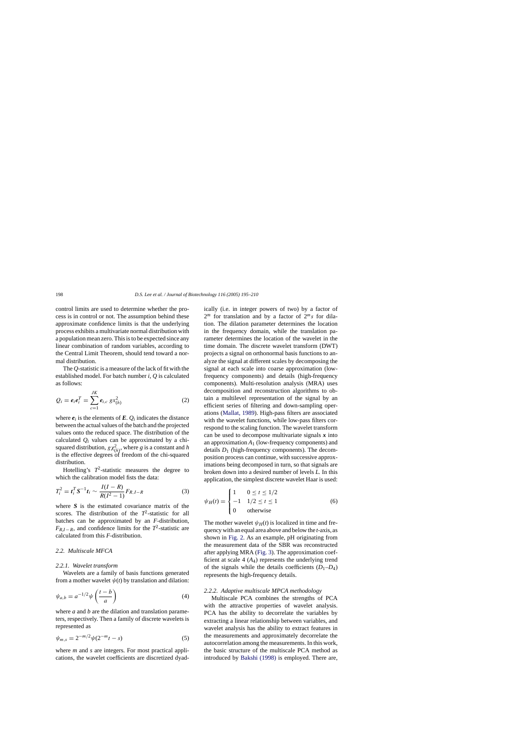control limits are used to determine whether the process is in control or not. The assumption behind these approximate confidence limits is that the underlying process exhibits a multivariate normal distribution with a population mean zero. This is to be expected since any linear combination of random variables, according to the Central Limit Theorem, should tend toward a normal distribution.

The *Q*-statistic is a measure of the lack of fit with the established model. For batch number *i*, *Q* is calculated as follows:

$$
Q_i = e_i e_i^T = \sum_{c=1}^{JK} e_{i,c} g x_{(h)}^2
$$
 (2)

where  $e_i$  is the elements of  $E$ .  $Q_i$  indicates the distance between the actual values of the batch and the projected values onto the reduced space. The distribution of the calculated  $Q_i$  values can be approximated by a chisquared distribution,  $g\chi^2_{(h)}$ , where *g* is a constant and *h* is the effective degrees of freedom of the chi-squared distribution.

Hotelling's  $T^2$ -statistic measures the degree to which the calibration model fists the data:

$$
T_i^2 = t_i^T S^{-1} t_i \sim \frac{I(I - R)}{R(I^2 - 1)} F_{R, I - R}
$$
 (3)

where *S* is the estimated covariance matrix of the scores. The distribution of the  $T^2$ -statistic for all batches can be approximated by an *F*-distribution,  $F_{R,I-R}$ , and confidence limits for the  $T^2$ -statistic are calculated from this *F*-distribution.

# *2.2. Multiscale MFCA*

#### *2.2.1. Wavelet transform*

Wavelets are a family of basis functions generated from a mother wavelet  $\psi(t)$  by translation and dilation:

$$
\psi_{a,b} = a^{-1/2} \psi \left( \frac{t-b}{a} \right) \tag{4}
$$

where *a* and *b* are the dilation and translation parameters, respectively. Then a family of discrete wavelets is represented as

$$
\psi_{m,s} = 2^{-m/2} \psi(2^{-m}t - s) \tag{5}
$$

where *m* and *s* are integers. For most practical applications, the wavelet coefficients are discretized dyadically (i.e. in integer powers of two) by a factor of  $2^m$  for translation and by a factor of  $2^m s$  for dilation. The dilation parameter determines the location in the frequency domain, while the translation parameter determines the location of the wavelet in the time domain. The discrete wavelet transform (DWT) projects a signal on orthonormal basis functions to analyze the signal at different scales by decomposing the signal at each scale into coarse approximation (lowfrequency components) and details (high-frequency components). Multi-resolution analysis (MRA) uses decomposition and reconstruction algorithms to obtain a multilevel representation of the signal by an efficient series of filtering and down-sampling operations ([Mallat, 1989\).](#page-15-0) High-pass filters are associated with the wavelet functions, while low-pass filters correspond to the scaling function. The wavelet transform can be used to decompose multivariate signals *x* into an approximation  $A_1$  (low-frequency components) and details  $D_1$  (high-frequency components). The decomposition process can continue, with successive approximations being decomposed in turn, so that signals are broken down into a desired number of levels *L.* In this application, the simplest discrete wavelet Haar is used:

$$
\psi_H(t) = \begin{cases}\n1 & 0 \le t \le 1/2 \\
-1 & 1/2 \le t \le 1 \\
0 & \text{otherwise}\n\end{cases}
$$
\n(6)

The mother wavelet  $\psi_H(t)$  is localized in time and frequency with an equal area above and below the *t*-axis, as shown in [Fig. 2.](#page-4-0) As an example, pH originating from the measurement data of the SBR was reconstructed after applying MRA [\(Fig. 3\).](#page-4-0) The approximation coefficient at scale  $4(A_4)$  represents the underlying trend of the signals while the details coefficients  $(D_1-D_4)$ represents the high-frequency details.

#### *2.2.2. Adaptive multiscale MPCA methodology*

Multiscale PCA combines the strengths of PCA with the attractive properties of wavelet analysis. PCA has the ability to decorrelate the variables by extracting a linear relationship between variables, and wavelet analysis has the ability to extract features in the measurements and approximately decorrelate the autocorrelation among the measurements. In this work, the basic structure of the multiscale PCA method as introduced by [Bakshi \(1998\)](#page-14-0) is employed. There are,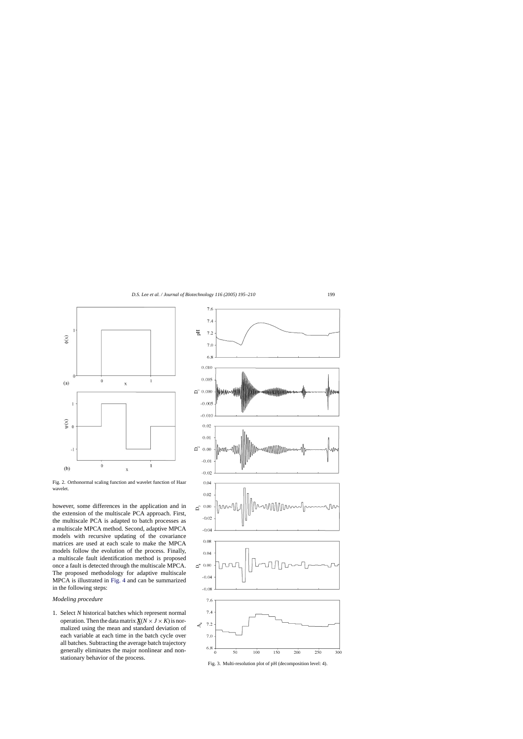<span id="page-4-0"></span>

Fig. 2. Orthonormal scaling function and wavelet function of Haar wavelet.

however, some differences in the application and in the extension of the multiscale PCA approach. First, the multiscale PCA is adapted to batch processes as a multiscale MPCA method. Second, adaptive MPCA models with recursive updating of the covariance matrices are used at each scale to make the MPCA models follow the evolution of the process. Finally, a multiscale fault identification method is proposed once a fault is detected through the multiscale MPCA. The proposed methodology for adaptive multiscale MPCA is illustrated in [Fig. 4](#page-5-0) and can be summarized in the following steps:

# *Modeling procedure*

1. Select *N* historical batches which represent normal operation. Then the data matrix  $X(N \times J \times K)$  is normalized using the mean and standard deviation of each variable at each time in the batch cycle over all batches. Subtracting the average batch trajectory generally eliminates the major nonlinear and nonstationary behavior of the process.



Fig. 3. Multi-resolution plot of pH (decomposition level: 4).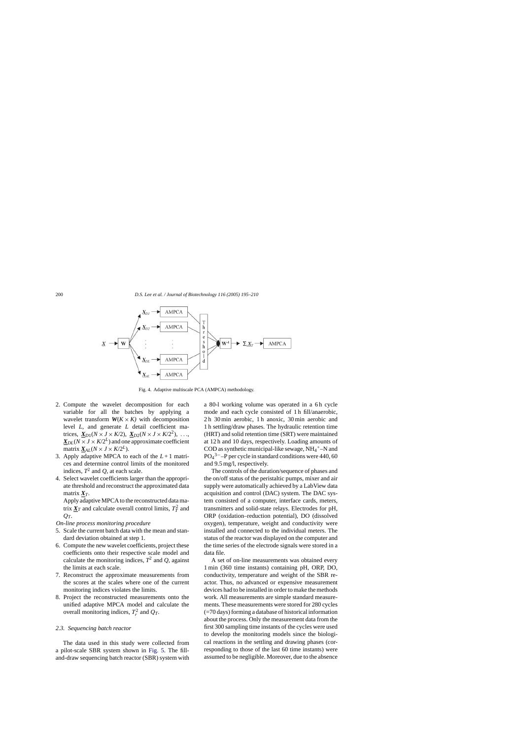<span id="page-5-0"></span>

Fig. 4. Adaptive multiscale PCA (AMPCA) methodology.

- 2. Compute the wavelet decomposition for each variable for all the batches by applying a wavelet transform  $W(K \times K)$  with decomposition level *L*, and generate *L* detail coefficient matrices,  $X_{D1}(N \times J \times K/2)$ ,  $X_{D2}(N \times J \times K/2^2)$ , ...  $X_{DL}$ ( $N \times J \times K/2^L$ ) and one approximate coefficient matrix  $X_{AL}(N \times J \times K/2^L)$ .
- 3. Apply adaptive MPCA to each of the  $L+1$  matrices and determine control limits of the monitored indices,  $T^2$  and *Q*, at each scale.
- 4. Select wavelet coefficients larger than the appropriate threshold and reconstruct the approximated data matrix *XT*.

Apply adaptive MPCA to the reconstructed data matrix  $\underline{X}_T$  and calculate overall control limits,  $T_T^2$  and *QT*.

#### *On-line process monitoring procedure*

- 5. Scale the current batch data with the mean and standard deviation obtained at step 1.
- 6. Compute the new wavelet coefficients, project these coefficients onto their respective scale model and calculate the monitoring indices,  $T^2$  and *Q*, against the limits at each scale.
- 7. Reconstruct the approximate measurements from the scores at the scales where one of the current monitoring indices violates the limits.
- 8. Project the reconstructed measurements onto the unified adaptive MPCA model and calculate the overall monitoring indices,  $T_r^2$  and  $Q_T$ .

#### *2.3. Sequencing batch reactor*

The data used in this study were collected from a pilot-scale SBR system shown in [Fig. 5.](#page-6-0) The filland-draw sequencing batch reactor (SBR) system with a 80-1 working volume was operated in a 6h cycle mode and each cycle consisted of 1 h fill/anaerobic, 2 h 30 min aerobic, 1 h anoxic, 30 min aerobic and 1 h settling/draw phases. The hydraulic retention time (HRT) and solid retention time (SRT) were maintained at 12 h and 10 days, respectively. Loading amounts of COD as synthetic municipal-like sewage,  $NH_4^+$ –N and  $PO_4$ <sup>3—</sup> $-P$  per cycle in standard conditions were 440, 60 and 9.5 mg/l, respectively.

The controls of the duration/sequence of phases and the on/off status of the peristaltic pumps, mixer and air supply were automatically achieved by a LabView data acquisition and control (DAC) system. The DAC system consisted of a computer, interface cards, meters, transmitters and solid-state relays. Electrodes for pH, ORP (oxidation–reduction potential), DO (dissolved oxygen), temperature, weight and conductivity were installed and connected to the individual meters. The status of the reactor was displayed on the computer and the time series of the electrode signals were stored in a data file.

A set of on-line measurements was obtained every 1 min (360 time instants) containing pH, ORP, DO, conductivity, temperature and weight of the SBR reactor. Thus, no advanced or expensive measurement devices had to be installed in order to make the methods work. All measurements are simple standard measurements. These measurements were stored for 280 cycles (=70 days) forming a database of historical information about the process. Only the measurement data from the first 300 sampling time instants of the cycles were used to develop the monitoring models since the biological reactions in the settling and drawing phases (corresponding to those of the last 60 time instants) were assumed to be negligible. Moreover, due to the absence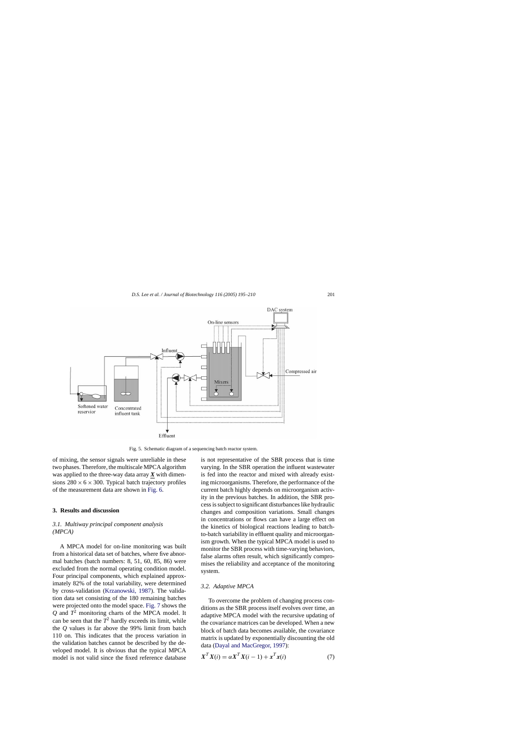<span id="page-6-0"></span>

Fig. 5. Schematic diagram of a sequencing batch reactor system.

of mixing, the sensor signals were unreliable in these two phases. Therefore, the multiscale MPCA algorithm was applied to the three-way data array *X* with dimensions  $280 \times 6 \times 300$ . Typical batch trajectory profiles of the measurement data are shown in [Fig. 6.](#page-7-0)

## **3. Results and discussion**

# *3.1. Multiway principal component analysis (MPCA)*

A MPCA model for on-line monitoring was built from a historical data set of batches, where five abnormal batches (batch numbers: 8, 51, 60, 85, 86) were excluded from the normal operating condition model. Four principal components, which explained approximately 82% of the total variability, were determined by cross-validation [\(Krzanowski, 1987\).](#page-15-0) The validation data set consisting of the 180 remaining batches were projected onto the model space. [Fig. 7](#page-8-0) shows the *Q* and *T*<sup>2</sup> monitoring charts of the MPCA model. It can be seen that the  $T^2$  hardly exceeds its limit, while the *Q* values is far above the 99% limit from batch 110 on. This indicates that the process variation in the validation batches cannot be described by the developed model. It is obvious that the typical MPCA model is not valid since the fixed reference database

is not representative of the SBR process that is time varying. In the SBR operation the influent wastewater is fed into the reactor and mixed with already existing microorganisms. Therefore, the performance of the current batch highly depends on microorganism activity in the previous batches. In addition, the SBR process is subject to significant disturbances like hydraulic changes and composition variations. Small changes in concentrations or flows can have a large effect on the kinetics of biological reactions leading to batchto-batch variability in effluent quality and microorganism growth. When the typical MPCA model is used to monitor the SBR process with time-varying behaviors, false alarms often result, which significantly compromises the reliability and acceptance of the monitoring system.

#### *3.2. Adaptive MPCA*

To overcome the problem of changing process conditions as the SBR process itself evolves over time, an adaptive MPCA model with the recursive updating of the covariance matrices can be developed. When a new block of batch data becomes available, the covariance matrix is updated by exponentially discounting the old data [\(Dayal and MacGregor, 1997\):](#page-14-0)

$$
X^T X(i) = \alpha X^T X(i-1) + x^T x(i) \tag{7}
$$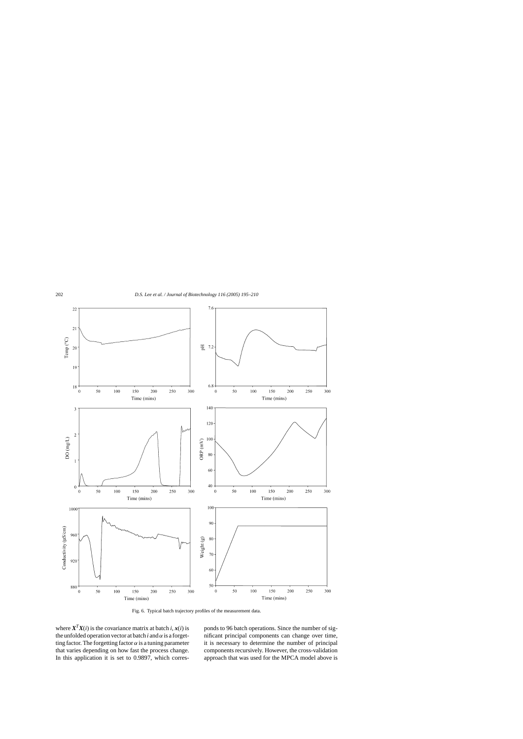<span id="page-7-0"></span>

Fig. 6. Typical batch trajectory profiles of the measurement data.

where  $X^T X(i)$  is the covariance matrix at batch *i*,  $x(i)$  is the unfolded operation vector at batch *i* and  $\alpha$  is a forgetting factor. The forgetting factor  $\alpha$  is a tuning parameter that varies depending on how fast the process change. In this application it is set to 0.9897, which corresponds to 96 batch operations. Since the number of significant principal components can change over time, it is necessary to determine the number of principal components recursively. However, the cross-validation approach that was used for the MPCA model above is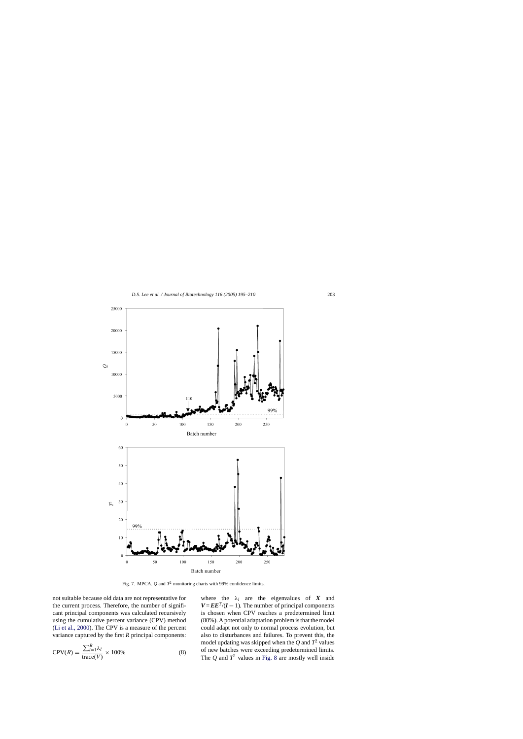<span id="page-8-0"></span>

Fig. 7. MPCA.  $Q$  and  $T^2$  monitoring charts with 99% confidence limits.

not suitable because old data are not representative for the current process. Therefore, the number of significant principal components was calculated recursively using the cumulative percent variance (CPV) method ([Li et al., 2000\).](#page-15-0) The CPV is a measure of the percent variance captured by the first *R* principal components:

$$
CPV(R) = \frac{\sum_{l=1}^{R} \lambda_l}{\text{trace}(V)} \times 100\%
$$
 (8)

where the  $\lambda_l$  are the eigenvalues of  $\boldsymbol{X}$  and  $V = EE^{T}/(I - 1)$ . The number of principal components is chosen when CPV reaches a predetermined limit (80%). A potential adaptation problem is that the model could adapt not only to normal process evolution, but also to disturbances and failures. To prevent this, the model updating was skipped when the  $Q$  and  $T^2$  values of new batches were exceeding predetermined limits. The  $Q$  and  $T^2$  values in [Fig. 8](#page-9-0) are mostly well inside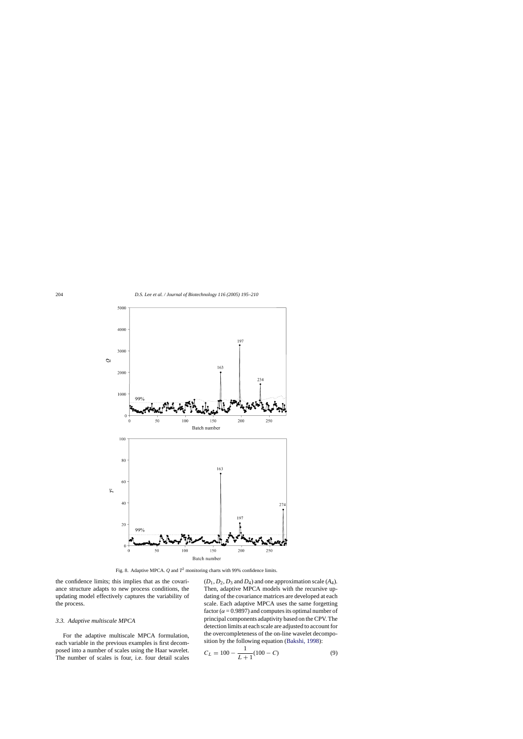<span id="page-9-0"></span>

Fig. 8. Adaptive MPCA.  $Q$  and  $T^2$  monitoring charts with 99% confidence limits.

the confidence limits; this implies that as the covariance structure adapts to new process conditions, the updating model effectively captures the variability of the process.

## *3.3. Adaptive multiscale MPCA*

For the adaptive multiscale MPCA formulation, each variable in the previous examples is first decomposed into a number of scales using the Haar wavelet. The number of scales is four, i.e. four detail scales  $(D_1, D_2, D_3$  and  $D_4$ ) and one approximation scale  $(A_4)$ . Then, adaptive MPCA models with the recursive updating of the covariance matrices are developed at each scale. Each adaptive MPCA uses the same forgetting factor ( $\alpha$  = 0.9897) and computes its optimal number of principal components adaptivity based on the CPV. The detection limits at each scale are adjusted to account for the overcompleteness of the on-line wavelet decomposition by the following equation ([Bakshi, 1998\):](#page-14-0)

$$
C_L = 100 - \frac{1}{L+1}(100 - C) \tag{9}
$$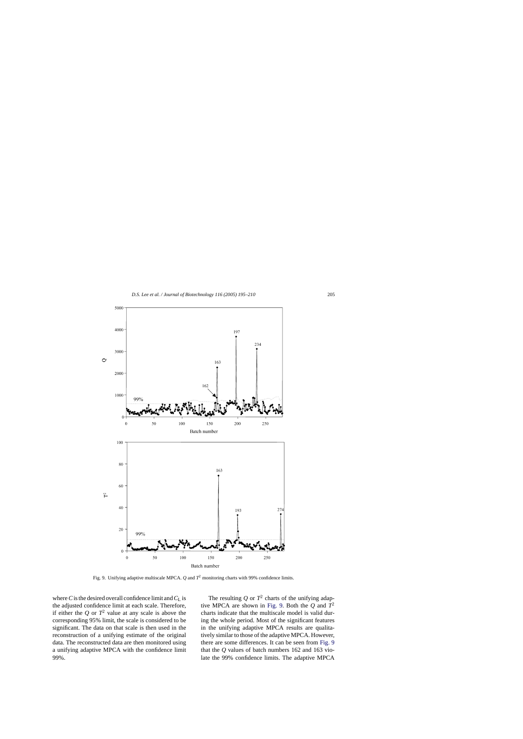<span id="page-10-0"></span>

Fig. 9. Unifying adaptive multiscale MPCA. *Q* and *T*<sup>2</sup> monitoring charts with 99% confidence limits.

where*C*is the desired overall confidence limit and*C*<sup>L</sup> is the adjusted confidence limit at each scale. Therefore, if either the  $Q$  or  $T^2$  value at any scale is above the corresponding 95% limit, the scale is considered to be significant. The data on that scale is then used in the reconstruction of a unifying estimate of the original data. The reconstructed data are then monitored using a unifying adaptive MPCA with the confidence limit 99%.

The resulting  $Q$  or  $T^2$  charts of the unifying adaptive MPCA are shown in Fig. 9. Both the *Q* and *T*<sup>2</sup> charts indicate that the multiscale model is valid during the whole period. Most of the significant features in the unifying adaptive MPCA results are qualitatively similar to those of the adaptive MPCA. However, there are some differences. It can be seen from Fig. 9 that the *Q* values of batch numbers 162 and 163 violate the 99% confidence limits. The adaptive MPCA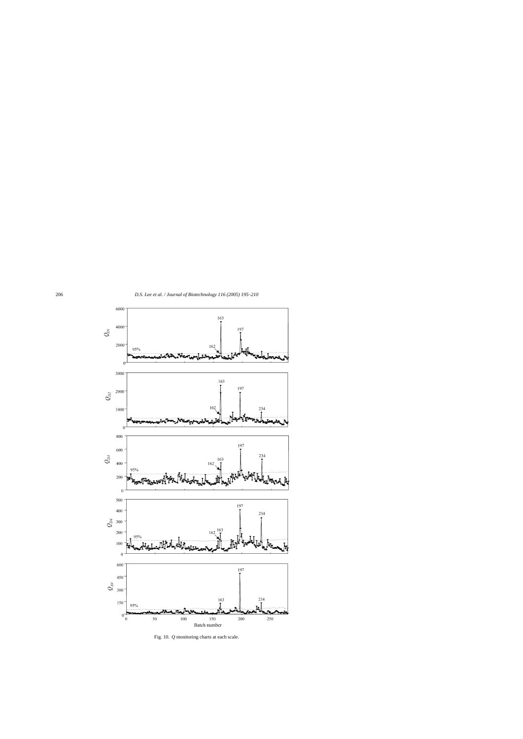<span id="page-11-0"></span>

Fig. 10. *Q* monitoring charts at each scale.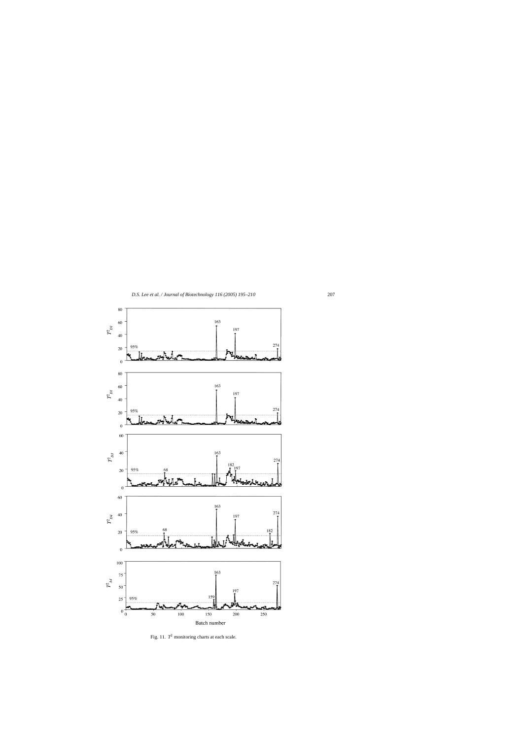

Fig. 11. *T*<sup>2</sup> monitoring charts at each scale.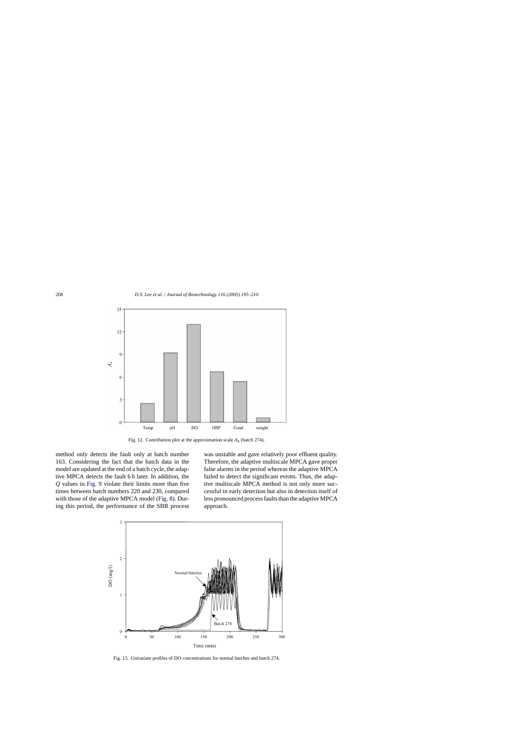<span id="page-13-0"></span>

Fig. 12. Contribution plot at the approximation scale *A*<sup>4</sup> (batch 274).

method only detects the fault only at batch number 163. Considering the fact that the batch data in the model are updated at the end of a batch cycle, the adaptive MPCA detects the fault 6 h later. In addition, the *Q* values in [Fig. 9](#page-10-0) violate their limits more than five times between batch numbers 220 and 230, compared with those of the adaptive MPCA model ([Fig. 8\).](#page-9-0) During this period, the performance of the SBR process was unstable and gave relatively poor effluent quality. Therefore, the adaptive multiscale MPCA gave proper false alarms in the period whereas the adaptive MPCA failed to detect the significant events. Thus, the adaptive multiscale MPCA method is not only more successful in early detection but also in detection itself of less pronounced process faults than the adaptive MPCA approach.



Fig. 13. Univariate profiles of DO concentrations for normal batches and batch 274.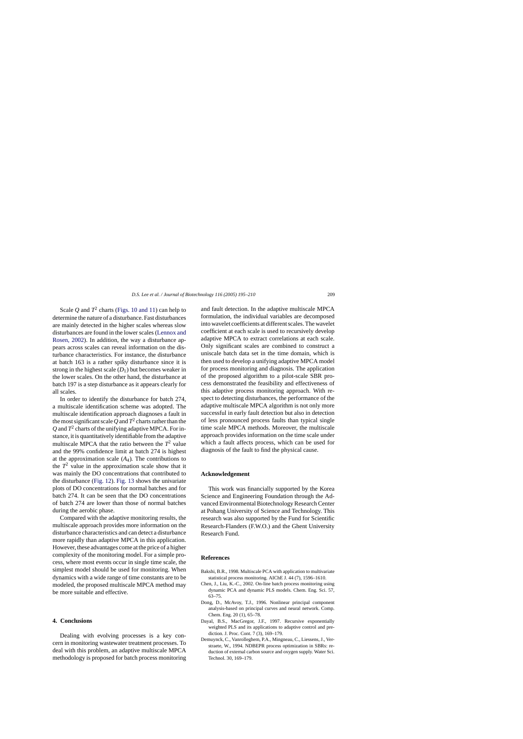<span id="page-14-0"></span>Scale *Q* and  $T^2$  charts [\(Figs. 10 and 11\)](#page-11-0) can help to determine the nature of a disturbance. Fast disturbances are mainly detected in the higher scales whereas slow disturbances are found in the lower scales [\(Lennox and](#page-15-0) [Rosen, 2002\).](#page-15-0) In addition, the way a disturbance appears across scales can reveal information on the disturbance characteristics. For instance, the disturbance at batch 163 is a rather spiky disturbance since it is strong in the highest scale  $(D_1)$  but becomes weaker in the lower scales. On the other hand, the disturbance at batch 197 is a step disturbance as it appears clearly for all scales.

In order to identify the disturbance for batch 274, a multiscale identification scheme was adopted. The multiscale identification approach diagnoses a fault in the most significant scale  $Q$  and  $T^2$  charts rather than the *Q* and  $T^2$  charts of the unifying adaptive MPCA. For instance, it is quantitatively identifiable from the adaptive multiscale MPCA that the ratio between the  $T^2$  value and the 99% confidence limit at batch 274 is highest at the approximation scale  $(A_4)$ . The contributions to the  $T^2$  value in the approximation scale show that it was mainly the DO concentrations that contributed to the disturbance [\(Fig. 12\).](#page-13-0) [Fig. 13](#page-13-0) shows the univariate plots of DO concentrations for normal batches and for batch 274. It can be seen that the DO concentrations of batch 274 are lower than those of normal batches during the aerobic phase.

Compared with the adaptive monitoring results, the multiscale approach provides more information on the disturbance characteristics and can detect a disturbance more rapidly than adaptive MPCA in this application. However, these advantages come at the price of a higher complexity of the monitoring model. For a simple process, where most events occur in single time scale, the simplest model should be used for monitoring. When dynamics with a wide range of time constants are to be modeled, the proposed multiscale MPCA method may be more suitable and effective.

# **4. Conclusions**

Dealing with evolving processes is a key concern in monitoring wastewater treatment processes. To deal with this problem, an adaptive multiscale MPCA methodology is proposed for batch process monitoring and fault detection. In the adaptive multiscale MPCA formulation, the individual variables are decomposed into wavelet coefficients at different scales. The wavelet coefficient at each scale is used to recursively develop adaptive MPCA to extract correlations at each scale. Only significant scales are combined to construct a uniscale batch data set in the time domain, which is then used to develop a unifying adaptive MPCA model for process monitoring and diagnosis. The application of the proposed algorithm to a pilot-scale SBR process demonstrated the feasibility and effectiveness of this adaptive process monitoring approach. With respect to detecting disturbances, the performance of the adaptive multiscale MPCA algorithm is not only more successful in early fault detection but also in detection of less pronounced process faults than typical single time scale MPCA methods. Moreover, the multiscale approach provides information on the time scale under which a fault affects process, which can be used for diagnosis of the fault to find the physical cause.

# **Acknowledgement**

This work was financially supported by the Korea Science and Engineering Foundation through the Advanced Environmental Biotechnology Research Center at Pohang University of Science and Technology. This research was also supported by the Fund for Scientific Research-Flanders (F.W.O.) and the Ghent University Research Fund.

#### **References**

- Bakshi, B.R., 1998. Multiscale PCA with application to multivariate statistical process monitoring. AIChE J. 44 (7), 1596–1610.
- Chen, J., Liu, K.-C., 2002. On-line batch process monitoring using dynamic PCA and dynamic PLS models. Chem. Eng. Sci. 57, 63–75.
- Dong, D., McAvoy, T.J., 1996. Nonlinear principal component analysis-based on principal curves and neural network. Comp. Chem. Eng. 20 (1), 65–78.
- Dayal, B.S., MacGregor, J.F., 1997. Recursive exponentially weighted PLS and its applications to adaptive control and prediction. J. Proc. Cont. 7 (3), 169–179.
- Demuynck, C., Vanrolleghem, P.A., Mingneau, C., Liessens, J., Verstraete, W., 1994. NDBEPR process optimization in SBRs: reduction of external carbon source and oxygen supply. Water Sci. Technol. 30, 169–179.